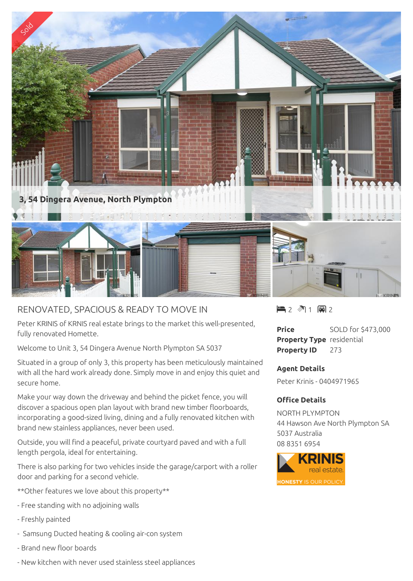

## RENOVATED, SPACIOUS & READY TO MOVE IN

Peter KRINIS of KRNIS real estate brings to the market this well-presented, fully renovated Homette.

Welcome to Unit 3, 54 Dingera Avenue North Plympton SA 5037

Situated in a group of only 3, this property has been meticulously maintained with all the hard work already done. Simply move in and enjoy this quiet and secure home.

Make your way down the driveway and behind the picket fence, you will discover a spacious open plan layout with brand new timber floorboards, incorporating a good-sized living, dining and a fully renovated kitchen with brand new stainless appliances, never been used.

Outside, you will find a peaceful, private courtyard paved and with a full length pergola, ideal for entertaining.

There is also parking for two vehicles inside the garage/carport with a roller door and parking for a second vehicle.

- \*\*Other features we love about this property\*\*
- Free standing with no adjoining walls
- Freshly painted
- Samsung Ducted heating & cooling air-con system
- Brand new floor boards
- New kitchen with never used stainless steel appliances

 $2$   $\sqrt[3]{1}$  a 2

**Price** SOLD for \$473,000 **Property Type** residential **Property ID** 273

## **Agent Details**

Peter Krinis - 0404971965

## **Office Details**

NORTH PLYMPTON 44 Hawson Ave North Plympton SA 5037 Australia 08 8351 6954